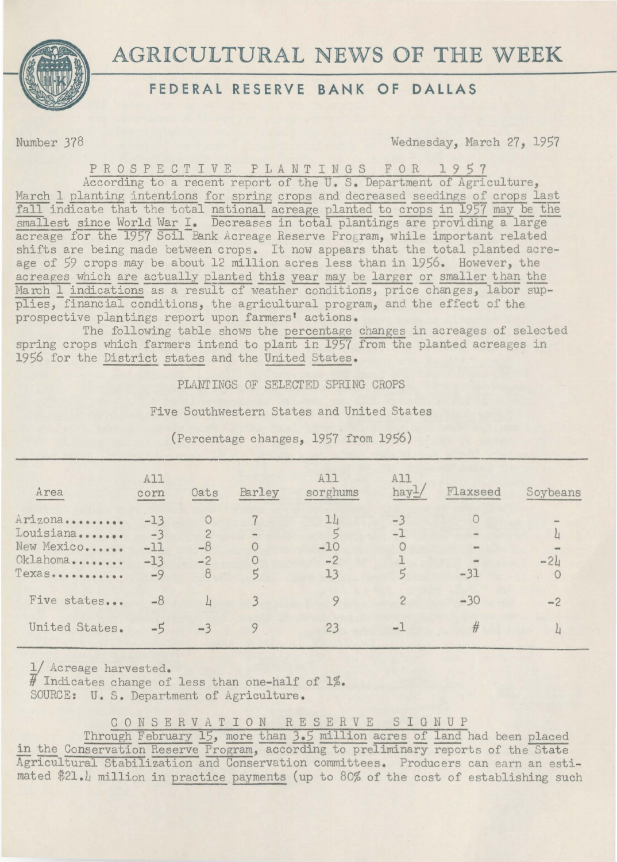

## AGRICULTURAL NEWS OF **THE** WEEK

## **FEDERAL RESERVE BANK OF DALLAS**

Number 378 Wednesday, March 27, 1957

P R O S P E C T I V E P L A N T I N G S F O R 1 9 5 7

According to a recent report of the U. s. Department of Agriculture, March 1 planting intentions for spring crops and decreased seedings of crops last fall indicate that the total national acreage planted to crops in 1957 may be the smallest since World War I. Decreases in total plantings are providing a large acreage for the 1957 Soil Bank Acreage Reserve Program, while important related shifts are being made between crops. It now appears that the total planted acreage of 59 crops may be about 12 million acres less than in 1956. However, the acreages which are actually planted this year may be larger or smaller than the March 1 indications as a result of weather conditions, price changes, labor supplies, financial conditions, the agricultural program, and the effect of the prospective plantings report upon farmers' actions.

The following table shows the percentage changes in acreages of selected spring crops which farmers intend to plant in 1957 from the planted acreages in 1956 for the District states and the United States.

PLANTINGS OF SELECTED SPRING CROPS

Five Southwestern States and United States

| Area                                                       | A11<br>corn                             | Oats                                | Barley              | A11<br>sorghums           | A11<br>hay-   | Flaxseed                            | Soybeans |
|------------------------------------------------------------|-----------------------------------------|-------------------------------------|---------------------|---------------------------|---------------|-------------------------------------|----------|
| Arizona<br>Louisiana<br>New Mexico<br>Oklahoma<br>$T$ exas | $-13$<br>$-3$<br>$-11$<br>$-13$<br>$-9$ | $\overline{c}$<br>$-8$<br>$-2$<br>8 | $\blacksquare$<br>5 | 11<br>$-10$<br>$-2$<br>13 | $-3$<br>$-1$  | <b>Vest</b><br><b>SHIP</b><br>$-31$ | $-2L$    |
| Five states                                                | $-8$                                    | $\perp$                             |                     | 9                         | $\mathcal{P}$ | $-30$                               | $-2$     |
| United States.                                             | $-5$                                    | $-3$                                |                     | 23                        | $-1$          | #                                   |          |

(Percentage changes, 1957 from 1956)

1/ Acreage harvested.  $\overline{H}$  Indicates change of less than one-half of 1%. SOURCE: U. s. Department of Agriculture.

C 0 N S E R V A T I 0 N R E S E R V E S I G N U P

Through February 15, more than 3.5 million acres of land had been placed in the Conservation Reserve Program, according to preliminary reports of the State Agricultural Stabilization and Conservation committees. Producers can earn an estimated \$21.4 million in practice payments (up to 80% of the cost of establishing such